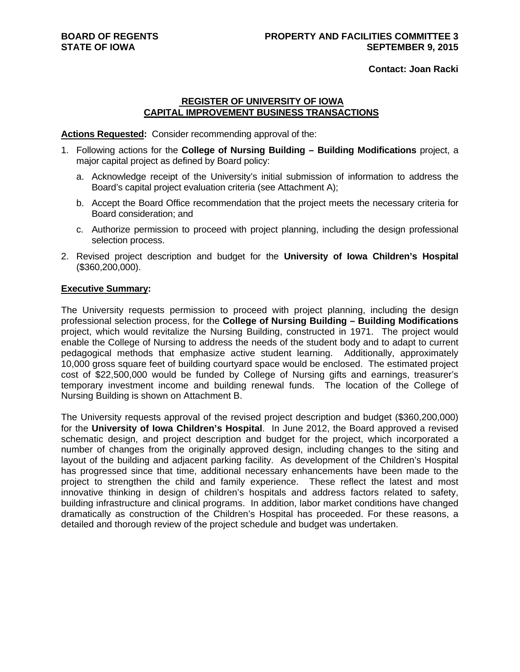**Contact: Joan Racki**

## **REGISTER OF UNIVERSITY OF IOWA CAPITAL IMPROVEMENT BUSINESS TRANSACTIONS**

**Actions Requested:** Consider recommending approval of the:

- 1. Following actions for the **College of Nursing Building Building Modifications** project, a major capital project as defined by Board policy:
	- a. Acknowledge receipt of the University's initial submission of information to address the Board's capital project evaluation criteria (see Attachment A);
	- b. Accept the Board Office recommendation that the project meets the necessary criteria for Board consideration; and
	- c. Authorize permission to proceed with project planning, including the design professional selection process.
- 2. Revised project description and budget for the **University of Iowa Children's Hospital**  (\$360,200,000).

## **Executive Summary:**

The University requests permission to proceed with project planning, including the design professional selection process, for the **College of Nursing Building – Building Modifications**  project, which would revitalize the Nursing Building, constructed in 1971. The project would enable the College of Nursing to address the needs of the student body and to adapt to current pedagogical methods that emphasize active student learning. Additionally, approximately 10,000 gross square feet of building courtyard space would be enclosed. The estimated project cost of \$22,500,000 would be funded by College of Nursing gifts and earnings, treasurer's temporary investment income and building renewal funds. The location of the College of Nursing Building is shown on Attachment B.

The University requests approval of the revised project description and budget (\$360,200,000) for the **University of Iowa Children's Hospital**. In June 2012, the Board approved a revised schematic design, and project description and budget for the project, which incorporated a number of changes from the originally approved design, including changes to the siting and layout of the building and adjacent parking facility. As development of the Children's Hospital has progressed since that time, additional necessary enhancements have been made to the project to strengthen the child and family experience. These reflect the latest and most innovative thinking in design of children's hospitals and address factors related to safety, building infrastructure and clinical programs. In addition, labor market conditions have changed dramatically as construction of the Children's Hospital has proceeded. For these reasons, a detailed and thorough review of the project schedule and budget was undertaken.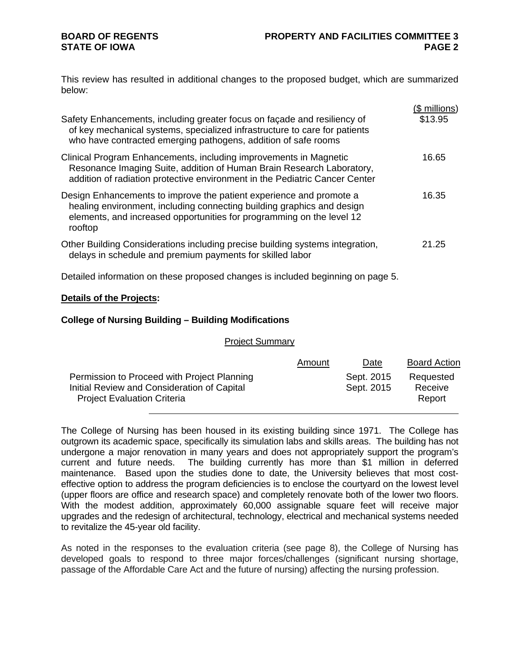# **BOARD OF REGENTS STATE OF IOWA**

This review has resulted in additional changes to the proposed budget, which are summarized below:

| Safety Enhancements, including greater focus on façade and resiliency of<br>of key mechanical systems, specialized infrastructure to care for patients                                                                                                                                      | (\$ millions)<br>\$13.95 |
|---------------------------------------------------------------------------------------------------------------------------------------------------------------------------------------------------------------------------------------------------------------------------------------------|--------------------------|
| who have contracted emerging pathogens, addition of safe rooms<br>Clinical Program Enhancements, including improvements in Magnetic<br>Resonance Imaging Suite, addition of Human Brain Research Laboratory,<br>addition of radiation protective environment in the Pediatric Cancer Center | 16.65                    |
| Design Enhancements to improve the patient experience and promote a<br>healing environment, including connecting building graphics and design<br>elements, and increased opportunities for programming on the level 12<br>rooftop                                                           | 16.35                    |
| Other Building Considerations including precise building systems integration,<br>delays in schedule and premium payments for skilled labor                                                                                                                                                  | 21.25                    |
| Detailed information on these proposed changes is included beginning on page 5.                                                                                                                                                                                                             |                          |
| <b>Details of the Projects:</b>                                                                                                                                                                                                                                                             |                          |

## **College of Nursing Building – Building Modifications**

Project Summary

|                                                                                                                                  | Amount | Date                     | <b>Board Action</b>            |
|----------------------------------------------------------------------------------------------------------------------------------|--------|--------------------------|--------------------------------|
| Permission to Proceed with Project Planning<br>Initial Review and Consideration of Capital<br><b>Project Evaluation Criteria</b> |        | Sept. 2015<br>Sept. 2015 | Requested<br>Receive<br>Report |

The College of Nursing has been housed in its existing building since 1971. The College has outgrown its academic space, specifically its simulation labs and skills areas. The building has not undergone a major renovation in many years and does not appropriately support the program's current and future needs. The building currently has more than \$1 million in deferred maintenance. Based upon the studies done to date, the University believes that most costeffective option to address the program deficiencies is to enclose the courtyard on the lowest level (upper floors are office and research space) and completely renovate both of the lower two floors. With the modest addition, approximately 60,000 assignable square feet will receive major upgrades and the redesign of architectural, technology, electrical and mechanical systems needed to revitalize the 45-year old facility.

As noted in the responses to the evaluation criteria (see page 8), the College of Nursing has developed goals to respond to three major forces/challenges (significant nursing shortage, passage of the Affordable Care Act and the future of nursing) affecting the nursing profession.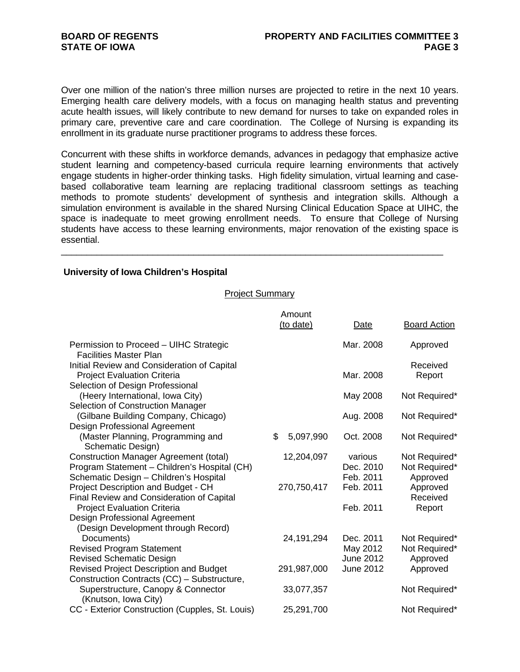Over one million of the nation's three million nurses are projected to retire in the next 10 years. Emerging health care delivery models, with a focus on managing health status and preventing acute health issues, will likely contribute to new demand for nurses to take on expanded roles in primary care, preventive care and care coordination. The College of Nursing is expanding its enrollment in its graduate nurse practitioner programs to address these forces.

Concurrent with these shifts in workforce demands, advances in pedagogy that emphasize active student learning and competency-based curricula require learning environments that actively engage students in higher-order thinking tasks. High fidelity simulation, virtual learning and casebased collaborative team learning are replacing traditional classroom settings as teaching methods to promote students' development of synthesis and integration skills. Although a simulation environment is available in the shared Nursing Clinical Education Space at UIHC, the space is inadequate to meet growing enrollment needs. To ensure that College of Nursing students have access to these learning environments, major renovation of the existing space is essential.

## **University of Iowa Children's Hospital**

## Project Summary

\_\_\_\_\_\_\_\_\_\_\_\_\_\_\_\_\_\_\_\_\_\_\_\_\_\_\_\_\_\_\_\_\_\_\_\_\_\_\_\_\_\_\_\_\_\_\_\_\_\_\_\_\_\_\_\_\_\_\_\_\_\_\_\_\_\_\_\_\_\_\_\_\_\_\_

|                                                                                                                                         | Amount          |                                           |                                            |
|-----------------------------------------------------------------------------------------------------------------------------------------|-----------------|-------------------------------------------|--------------------------------------------|
|                                                                                                                                         | (to date)       | Date                                      | <b>Board Action</b>                        |
| Permission to Proceed - UIHC Strategic<br><b>Facilities Master Plan</b>                                                                 |                 | Mar. 2008                                 | Approved                                   |
| Initial Review and Consideration of Capital<br><b>Project Evaluation Criteria</b>                                                       |                 | Mar. 2008                                 | Received<br>Report                         |
| Selection of Design Professional<br>(Heery International, Iowa City)<br>Selection of Construction Manager                               |                 | May 2008                                  | Not Required*                              |
| (Gilbane Building Company, Chicago)<br>Design Professional Agreement                                                                    |                 | Aug. 2008                                 | Not Required*                              |
| (Master Planning, Programming and<br>Schematic Design)                                                                                  | \$<br>5,097,990 | Oct. 2008                                 | Not Required*                              |
| <b>Construction Manager Agreement (total)</b><br>Program Statement - Children's Hospital (CH)<br>Schematic Design - Children's Hospital | 12,204,097      | various<br>Dec. 2010<br>Feb. 2011         | Not Required*<br>Not Required*<br>Approved |
| Project Description and Budget - CH<br>Final Review and Consideration of Capital                                                        | 270,750,417     | Feb. 2011                                 | Approved<br>Received                       |
| <b>Project Evaluation Criteria</b><br>Design Professional Agreement<br>(Design Development through Record)                              |                 | Feb. 2011                                 | Report                                     |
| Documents)<br><b>Revised Program Statement</b><br><b>Revised Schematic Design</b>                                                       | 24,191,294      | Dec. 2011<br>May 2012<br><b>June 2012</b> | Not Required*<br>Not Required*<br>Approved |
| <b>Revised Project Description and Budget</b><br>Construction Contracts (CC) - Substructure,                                            | 291,987,000     | <b>June 2012</b>                          | Approved                                   |
| Superstructure, Canopy & Connector<br>(Knutson, Iowa City)                                                                              | 33,077,357      |                                           | Not Required*                              |
| CC - Exterior Construction (Cupples, St. Louis)                                                                                         | 25,291,700      |                                           | Not Required*                              |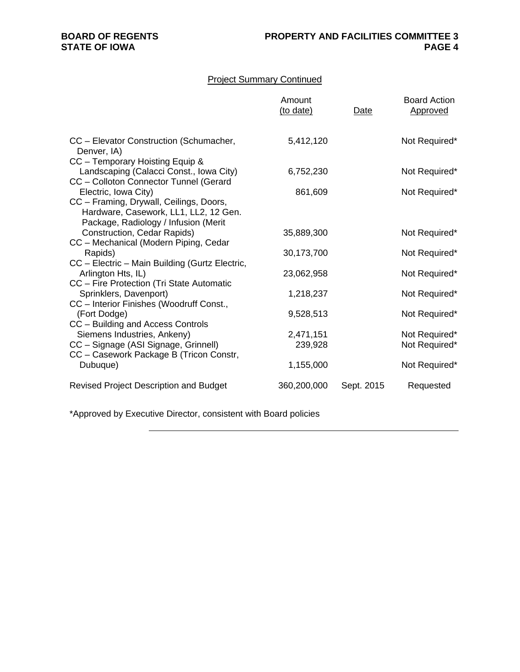# Project Summary Continued

|                                                                                                                                                  | Amount<br>(to date)  | Date       | <b>Board Action</b><br>Approved |
|--------------------------------------------------------------------------------------------------------------------------------------------------|----------------------|------------|---------------------------------|
| CC - Elevator Construction (Schumacher,<br>Denver, IA)                                                                                           | 5,412,120            |            | Not Required*                   |
| CC - Temporary Hoisting Equip &<br>Landscaping (Calacci Const., Iowa City)<br>CC - Colloton Connector Tunnel (Gerard                             | 6,752,230            |            | Not Required*                   |
| Electric, Iowa City)<br>CC - Framing, Drywall, Ceilings, Doors,<br>Hardware, Casework, LL1, LL2, 12 Gen.<br>Package, Radiology / Infusion (Merit | 861,609              |            | Not Required*                   |
| Construction, Cedar Rapids)                                                                                                                      | 35,889,300           |            | Not Required*                   |
| CC - Mechanical (Modern Piping, Cedar<br>Rapids)                                                                                                 | 30,173,700           |            | Not Required*                   |
| CC - Electric - Main Building (Gurtz Electric,<br>Arlington Hts, IL)<br>CC - Fire Protection (Tri State Automatic                                | 23,062,958           |            | Not Required*                   |
| Sprinklers, Davenport)<br>CC - Interior Finishes (Woodruff Const.,                                                                               | 1,218,237            |            | Not Required*                   |
| (Fort Dodge)<br>CC - Building and Access Controls                                                                                                | 9,528,513            |            | Not Required*                   |
| Siemens Industries, Ankeny)<br>CC - Signage (ASI Signage, Grinnell)<br>CC - Casework Package B (Tricon Constr,                                   | 2,471,151<br>239,928 |            | Not Required*<br>Not Required*  |
| Dubuque)                                                                                                                                         | 1,155,000            |            | Not Required*                   |
| <b>Revised Project Description and Budget</b>                                                                                                    | 360,200,000          | Sept. 2015 | Requested                       |

\*Approved by Executive Director, consistent with Board policies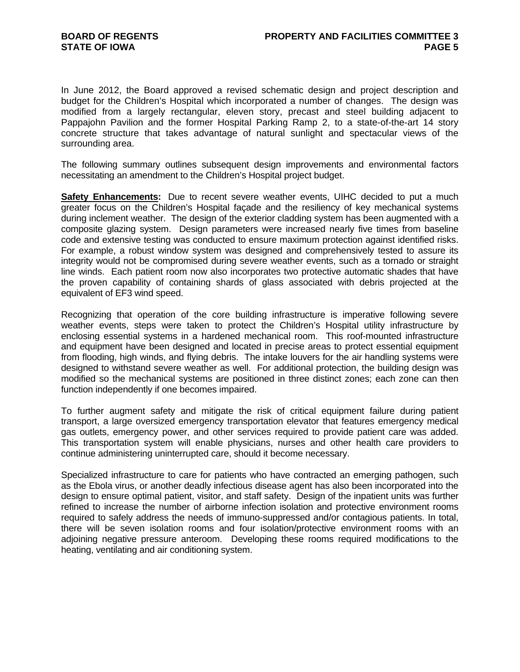In June 2012, the Board approved a revised schematic design and project description and budget for the Children's Hospital which incorporated a number of changes. The design was modified from a largely rectangular, eleven story, precast and steel building adjacent to Pappajohn Pavilion and the former Hospital Parking Ramp 2, to a state-of-the-art 14 story concrete structure that takes advantage of natural sunlight and spectacular views of the surrounding area.

The following summary outlines subsequent design improvements and environmental factors necessitating an amendment to the Children's Hospital project budget.

**Safety Enhancements:** Due to recent severe weather events, UIHC decided to put a much greater focus on the Children's Hospital façade and the resiliency of key mechanical systems during inclement weather. The design of the exterior cladding system has been augmented with a composite glazing system. Design parameters were increased nearly five times from baseline code and extensive testing was conducted to ensure maximum protection against identified risks. For example, a robust window system was designed and comprehensively tested to assure its integrity would not be compromised during severe weather events, such as a tornado or straight line winds. Each patient room now also incorporates two protective automatic shades that have the proven capability of containing shards of glass associated with debris projected at the equivalent of EF3 wind speed.

Recognizing that operation of the core building infrastructure is imperative following severe weather events, steps were taken to protect the Children's Hospital utility infrastructure by enclosing essential systems in a hardened mechanical room. This roof-mounted infrastructure and equipment have been designed and located in precise areas to protect essential equipment from flooding, high winds, and flying debris. The intake louvers for the air handling systems were designed to withstand severe weather as well. For additional protection, the building design was modified so the mechanical systems are positioned in three distinct zones; each zone can then function independently if one becomes impaired.

To further augment safety and mitigate the risk of critical equipment failure during patient transport, a large oversized emergency transportation elevator that features emergency medical gas outlets, emergency power, and other services required to provide patient care was added. This transportation system will enable physicians, nurses and other health care providers to continue administering uninterrupted care, should it become necessary.

Specialized infrastructure to care for patients who have contracted an emerging pathogen, such as the Ebola virus, or another deadly infectious disease agent has also been incorporated into the design to ensure optimal patient, visitor, and staff safety. Design of the inpatient units was further refined to increase the number of airborne infection isolation and protective environment rooms required to safely address the needs of immuno-suppressed and/or contagious patients. In total, there will be seven isolation rooms and four isolation/protective environment rooms with an adjoining negative pressure anteroom. Developing these rooms required modifications to the heating, ventilating and air conditioning system.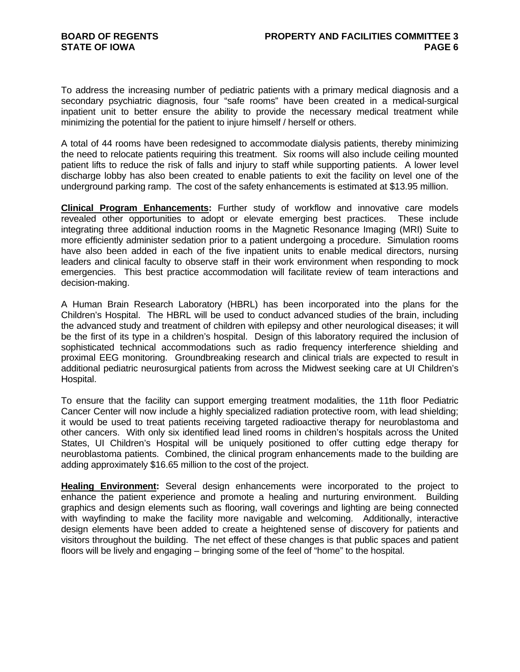To address the increasing number of pediatric patients with a primary medical diagnosis and a secondary psychiatric diagnosis, four "safe rooms" have been created in a medical-surgical inpatient unit to better ensure the ability to provide the necessary medical treatment while minimizing the potential for the patient to injure himself / herself or others.

A total of 44 rooms have been redesigned to accommodate dialysis patients, thereby minimizing the need to relocate patients requiring this treatment. Six rooms will also include ceiling mounted patient lifts to reduce the risk of falls and injury to staff while supporting patients. A lower level discharge lobby has also been created to enable patients to exit the facility on level one of the underground parking ramp. The cost of the safety enhancements is estimated at \$13.95 million.

**Clinical Program Enhancements:** Further study of workflow and innovative care models revealed other opportunities to adopt or elevate emerging best practices. These include integrating three additional induction rooms in the Magnetic Resonance Imaging (MRI) Suite to more efficiently administer sedation prior to a patient undergoing a procedure. Simulation rooms have also been added in each of the five inpatient units to enable medical directors, nursing leaders and clinical faculty to observe staff in their work environment when responding to mock emergencies. This best practice accommodation will facilitate review of team interactions and decision-making.

A Human Brain Research Laboratory (HBRL) has been incorporated into the plans for the Children's Hospital. The HBRL will be used to conduct advanced studies of the brain, including the advanced study and treatment of children with epilepsy and other neurological diseases; it will be the first of its type in a children's hospital. Design of this laboratory required the inclusion of sophisticated technical accommodations such as radio frequency interference shielding and proximal EEG monitoring. Groundbreaking research and clinical trials are expected to result in additional pediatric neurosurgical patients from across the Midwest seeking care at UI Children's Hospital.

To ensure that the facility can support emerging treatment modalities, the 11th floor Pediatric Cancer Center will now include a highly specialized radiation protective room, with lead shielding; it would be used to treat patients receiving targeted radioactive therapy for neuroblastoma and other cancers. With only six identified lead lined rooms in children's hospitals across the United States, UI Children's Hospital will be uniquely positioned to offer cutting edge therapy for neuroblastoma patients. Combined, the clinical program enhancements made to the building are adding approximately \$16.65 million to the cost of the project.

**Healing Environment:** Several design enhancements were incorporated to the project to enhance the patient experience and promote a healing and nurturing environment. Building graphics and design elements such as flooring, wall coverings and lighting are being connected with wayfinding to make the facility more navigable and welcoming. Additionally, interactive design elements have been added to create a heightened sense of discovery for patients and visitors throughout the building. The net effect of these changes is that public spaces and patient floors will be lively and engaging – bringing some of the feel of "home" to the hospital.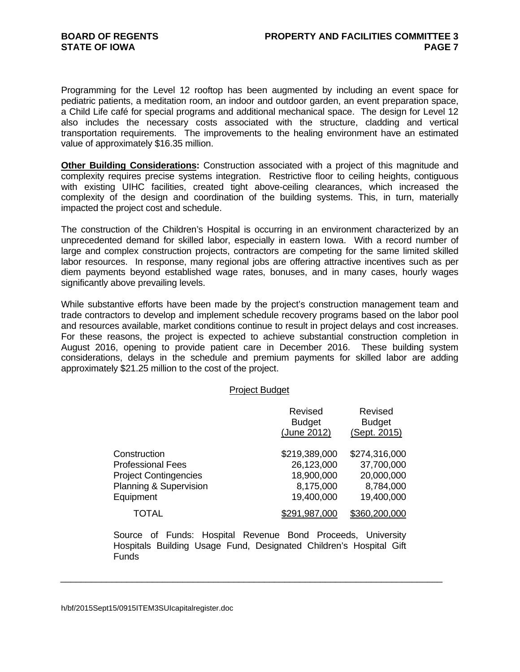Programming for the Level 12 rooftop has been augmented by including an event space for pediatric patients, a meditation room, an indoor and outdoor garden, an event preparation space, a Child Life café for special programs and additional mechanical space. The design for Level 12 also includes the necessary costs associated with the structure, cladding and vertical transportation requirements. The improvements to the healing environment have an estimated value of approximately \$16.35 million.

**Other Building Considerations:** Construction associated with a project of this magnitude and complexity requires precise systems integration. Restrictive floor to ceiling heights, contiguous with existing UIHC facilities, created tight above-ceiling clearances, which increased the complexity of the design and coordination of the building systems. This, in turn, materially impacted the project cost and schedule.

The construction of the Children's Hospital is occurring in an environment characterized by an unprecedented demand for skilled labor, especially in eastern Iowa. With a record number of large and complex construction projects, contractors are competing for the same limited skilled labor resources. In response, many regional jobs are offering attractive incentives such as per diem payments beyond established wage rates, bonuses, and in many cases, hourly wages significantly above prevailing levels.

While substantive efforts have been made by the project's construction management team and trade contractors to develop and implement schedule recovery programs based on the labor pool and resources available, market conditions continue to result in project delays and cost increases. For these reasons, the project is expected to achieve substantial construction completion in August 2016, opening to provide patient care in December 2016. These building system considerations, delays in the schedule and premium payments for skilled labor are adding approximately \$21.25 million to the cost of the project.

#### Project Budget

|                                                                                                                 | Revised<br><b>Budget</b><br>(June 2012)                              | Revised<br><b>Budget</b><br>(Sept. 2015)                             |
|-----------------------------------------------------------------------------------------------------------------|----------------------------------------------------------------------|----------------------------------------------------------------------|
| Construction<br><b>Professional Fees</b><br><b>Project Contingencies</b><br>Planning & Supervision<br>Equipment | \$219,389,000<br>26,123,000<br>18,900,000<br>8,175,000<br>19,400,000 | \$274,316,000<br>37,700,000<br>20,000,000<br>8,784,000<br>19,400,000 |
| TOTAL                                                                                                           | 291.987.000                                                          | \$360,200,000                                                        |

Source of Funds: Hospital Revenue Bond Proceeds, University Hospitals Building Usage Fund, Designated Children's Hospital Gift Funds

\_\_\_\_\_\_\_\_\_\_\_\_\_\_\_\_\_\_\_\_\_\_\_\_\_\_\_\_\_\_\_\_\_\_\_\_\_\_\_\_\_\_\_\_\_\_\_\_\_\_\_\_\_\_\_\_\_\_\_\_\_\_\_\_\_\_\_\_\_\_\_\_\_\_\_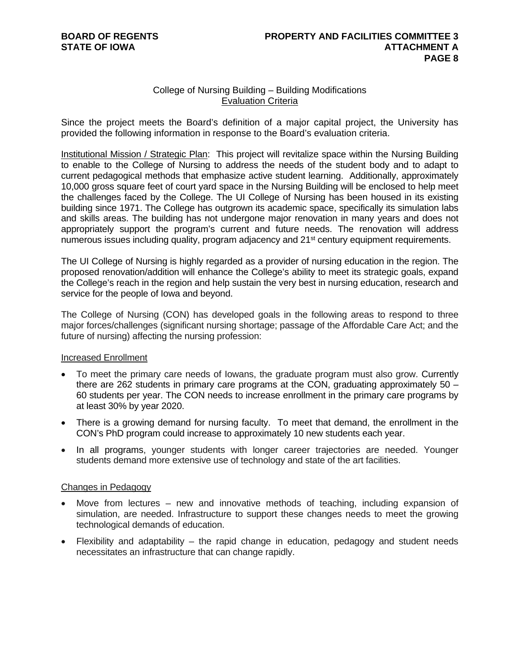# College of Nursing Building – Building Modifications Evaluation Criteria

Since the project meets the Board's definition of a major capital project, the University has provided the following information in response to the Board's evaluation criteria.

Institutional Mission / Strategic Plan: This project will revitalize space within the Nursing Building to enable to the College of Nursing to address the needs of the student body and to adapt to current pedagogical methods that emphasize active student learning. Additionally, approximately 10,000 gross square feet of court yard space in the Nursing Building will be enclosed to help meet the challenges faced by the College. The UI College of Nursing has been housed in its existing building since 1971. The College has outgrown its academic space, specifically its simulation labs and skills areas. The building has not undergone major renovation in many years and does not appropriately support the program's current and future needs. The renovation will address numerous issues including quality, program adjacency and 21st century equipment requirements.

The UI College of Nursing is highly regarded as a provider of nursing education in the region. The proposed renovation/addition will enhance the College's ability to meet its strategic goals, expand the College's reach in the region and help sustain the very best in nursing education, research and service for the people of Iowa and beyond.

The College of Nursing (CON) has developed goals in the following areas to respond to three major forces/challenges (significant nursing shortage; passage of the Affordable Care Act; and the future of nursing) affecting the nursing profession:

## Increased Enrollment

- To meet the primary care needs of Iowans, the graduate program must also grow. Currently there are 262 students in primary care programs at the CON, graduating approximately  $50 -$ 60 students per year. The CON needs to increase enrollment in the primary care programs by at least 30% by year 2020.
- There is a growing demand for nursing faculty. To meet that demand, the enrollment in the CON's PhD program could increase to approximately 10 new students each year.
- In all programs, younger students with longer career trajectories are needed. Younger students demand more extensive use of technology and state of the art facilities.

## Changes in Pedagogy

- Move from lectures new and innovative methods of teaching, including expansion of simulation, are needed. Infrastructure to support these changes needs to meet the growing technological demands of education.
- Flexibility and adaptability the rapid change in education, pedagogy and student needs necessitates an infrastructure that can change rapidly.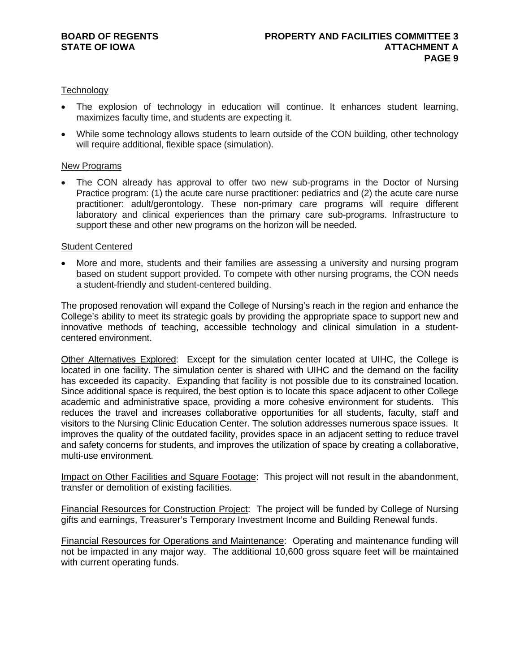## **Technology**

- The explosion of technology in education will continue. It enhances student learning, maximizes faculty time, and students are expecting it.
- While some technology allows students to learn outside of the CON building, other technology will require additional, flexible space (simulation).

## New Programs

• The CON already has approval to offer two new sub-programs in the Doctor of Nursing Practice program: (1) the acute care nurse practitioner: pediatrics and (2) the acute care nurse practitioner: adult/gerontology. These non-primary care programs will require different laboratory and clinical experiences than the primary care sub-programs. Infrastructure to support these and other new programs on the horizon will be needed.

## Student Centered

 More and more, students and their families are assessing a university and nursing program based on student support provided. To compete with other nursing programs, the CON needs a student-friendly and student-centered building.

The proposed renovation will expand the College of Nursing's reach in the region and enhance the College's ability to meet its strategic goals by providing the appropriate space to support new and innovative methods of teaching, accessible technology and clinical simulation in a studentcentered environment.

Other Alternatives Explored: Except for the simulation center located at UIHC, the College is located in one facility. The simulation center is shared with UIHC and the demand on the facility has exceeded its capacity. Expanding that facility is not possible due to its constrained location. Since additional space is required, the best option is to locate this space adjacent to other College academic and administrative space, providing a more cohesive environment for students. This reduces the travel and increases collaborative opportunities for all students, faculty, staff and visitors to the Nursing Clinic Education Center. The solution addresses numerous space issues. It improves the quality of the outdated facility, provides space in an adjacent setting to reduce travel and safety concerns for students, and improves the utilization of space by creating a collaborative, multi-use environment.

Impact on Other Facilities and Square Footage: This project will not result in the abandonment, transfer or demolition of existing facilities.

Financial Resources for Construction Project: The project will be funded by College of Nursing gifts and earnings, Treasurer's Temporary Investment Income and Building Renewal funds.

Financial Resources for Operations and Maintenance: Operating and maintenance funding will not be impacted in any major way. The additional 10,600 gross square feet will be maintained with current operating funds.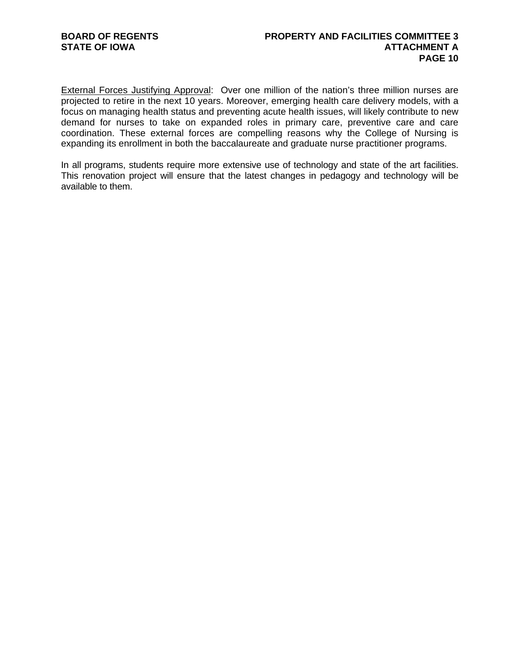External Forces Justifying Approval: Over one million of the nation's three million nurses are projected to retire in the next 10 years. Moreover, emerging health care delivery models, with a focus on managing health status and preventing acute health issues, will likely contribute to new demand for nurses to take on expanded roles in primary care, preventive care and care coordination. These external forces are compelling reasons why the College of Nursing is expanding its enrollment in both the baccalaureate and graduate nurse practitioner programs.

In all programs, students require more extensive use of technology and state of the art facilities. This renovation project will ensure that the latest changes in pedagogy and technology will be available to them.